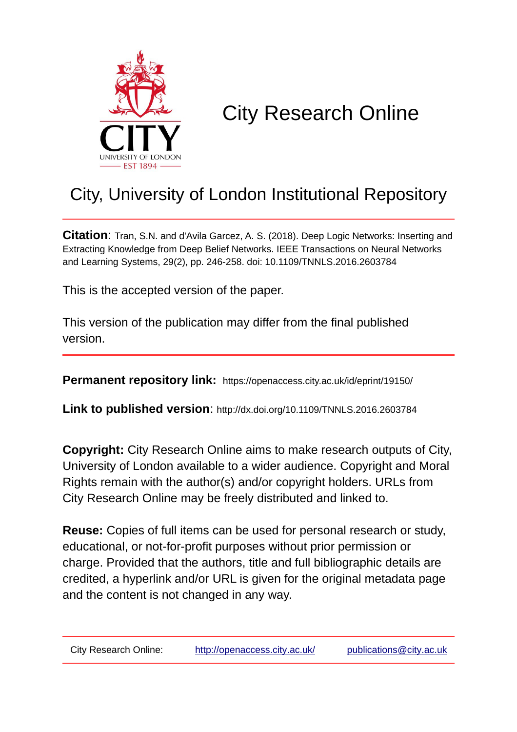

# City Research Online

# City, University of London Institutional Repository

**Citation**: Tran, S.N. and d'Avila Garcez, A. S. (2018). Deep Logic Networks: Inserting and Extracting Knowledge from Deep Belief Networks. IEEE Transactions on Neural Networks and Learning Systems, 29(2), pp. 246-258. doi: 10.1109/TNNLS.2016.2603784

This is the accepted version of the paper.

This version of the publication may differ from the final published version.

**Permanent repository link:** https://openaccess.city.ac.uk/id/eprint/19150/

**Link to published version**: http://dx.doi.org/10.1109/TNNLS.2016.2603784

**Copyright:** City Research Online aims to make research outputs of City, University of London available to a wider audience. Copyright and Moral Rights remain with the author(s) and/or copyright holders. URLs from City Research Online may be freely distributed and linked to.

**Reuse:** Copies of full items can be used for personal research or study, educational, or not-for-profit purposes without prior permission or charge. Provided that the authors, title and full bibliographic details are credited, a hyperlink and/or URL is given for the original metadata page and the content is not changed in any way.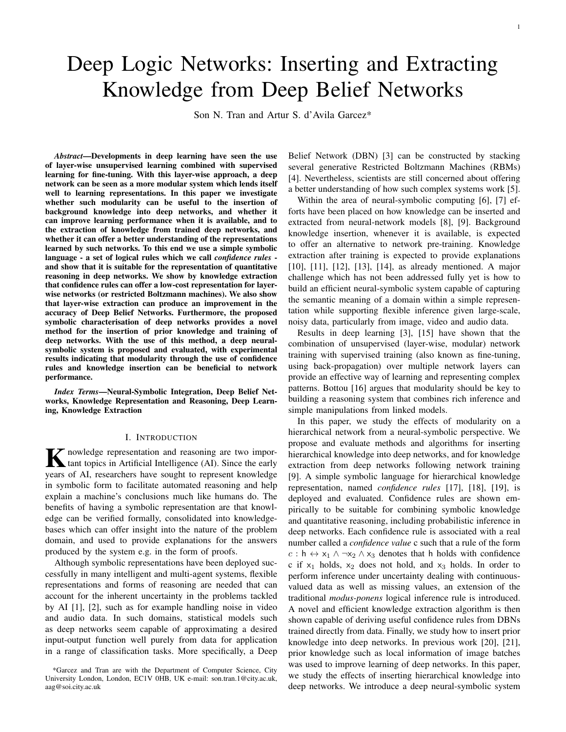# Deep Logic Networks: Inserting and Extracting Knowledge from Deep Belief Networks

Son N. Tran and Artur S. d'Avila Garcez\*

*Abstract*—Developments in deep learning have seen the use of layer-wise unsupervised learning combined with supervised learning for fine-tuning. With this layer-wise approach, a deep network can be seen as a more modular system which lends itself well to learning representations. In this paper we investigate whether such modularity can be useful to the insertion of background knowledge into deep networks, and whether it can improve learning performance when it is available, and to the extraction of knowledge from trained deep networks, and whether it can offer a better understanding of the representations learned by such networks. To this end we use a simple symbolic language - a set of logical rules which we call *confidence rules* and show that it is suitable for the representation of quantitative reasoning in deep networks. We show by knowledge extraction that confidence rules can offer a low-cost representation for layerwise networks (or restricted Boltzmann machines). We also show that layer-wise extraction can produce an improvement in the accuracy of Deep Belief Networks. Furthermore, the proposed symbolic characterisation of deep networks provides a novel method for the insertion of prior knowledge and training of deep networks. With the use of this method, a deep neuralsymbolic system is proposed and evaluated, with experimental results indicating that modularity through the use of confidence rules and knowledge insertion can be beneficial to network performance.

*Index Terms*—Neural-Symbolic Integration, Deep Belief Networks, Knowledge Representation and Reasoning, Deep Learning, Knowledge Extraction

#### I. INTRODUCTION

K nowledge representation and reasoning are two impor-<br>tant topics in Artificial Intelligence (AI). Since the early tant topics in Artificial Intelligence (AI). Since the early years of AI, researchers have sought to represent knowledge in symbolic form to facilitate automated reasoning and help explain a machine's conclusions much like humans do. The benefits of having a symbolic representation are that knowledge can be verified formally, consolidated into knowledgebases which can offer insight into the nature of the problem domain, and used to provide explanations for the answers produced by the system e.g. in the form of proofs.

Although symbolic representations have been deployed successfully in many intelligent and multi-agent systems, flexible representations and forms of reasoning are needed that can account for the inherent uncertainty in the problems tackled by AI [1], [2], such as for example handling noise in video and audio data. In such domains, statistical models such as deep networks seem capable of approximating a desired input-output function well purely from data for application in a range of classification tasks. More specifically, a Deep Belief Network (DBN) [3] can be constructed by stacking several generative Restricted Boltzmann Machines (RBMs) [4]. Nevertheless, scientists are still concerned about offering a better understanding of how such complex systems work [5].

Within the area of neural-symbolic computing [6], [7] efforts have been placed on how knowledge can be inserted and extracted from neural-network models [8], [9]. Background knowledge insertion, whenever it is available, is expected to offer an alternative to network pre-training. Knowledge extraction after training is expected to provide explanations [10], [11], [12], [13], [14], as already mentioned. A major challenge which has not been addressed fully yet is how to build an efficient neural-symbolic system capable of capturing the semantic meaning of a domain within a simple representation while supporting flexible inference given large-scale, noisy data, particularly from image, video and audio data.

Results in deep learning [3], [15] have shown that the combination of unsupervised (layer-wise, modular) network training with supervised training (also known as fine-tuning, using back-propagation) over multiple network layers can provide an effective way of learning and representing complex patterns. Bottou [16] argues that modularity should be key to building a reasoning system that combines rich inference and simple manipulations from linked models.

In this paper, we study the effects of modularity on a hierarchical network from a neural-symbolic perspective. We propose and evaluate methods and algorithms for inserting hierarchical knowledge into deep networks, and for knowledge extraction from deep networks following network training [9]. A simple symbolic language for hierarchical knowledge representation, named *confidence rules* [17], [18], [19], is deployed and evaluated. Confidence rules are shown empirically to be suitable for combining symbolic knowledge and quantitative reasoning, including probabilistic inference in deep networks. Each confidence rule is associated with a real number called a *confidence value* c such that a rule of the form  $c : h \leftrightarrow x_1 \land \neg x_2 \land x_3$  denotes that h holds with confidence c if  $x_1$  holds,  $x_2$  does not hold, and  $x_3$  holds. In order to perform inference under uncertainty dealing with continuousvalued data as well as missing values, an extension of the traditional *modus-ponens* logical inference rule is introduced. A novel and efficient knowledge extraction algorithm is then shown capable of deriving useful confidence rules from DBNs trained directly from data. Finally, we study how to insert prior knowledge into deep networks. In previous work [20], [21], prior knowledge such as local information of image batches was used to improve learning of deep networks. In this paper, we study the effects of inserting hierarchical knowledge into deep networks. We introduce a deep neural-symbolic system

<sup>\*</sup>Garcez and Tran are with the Department of Computer Science, City University London, London, EC1V 0HB, UK e-mail: son.tran.1@city.ac.uk, aag@soi.city.ac.uk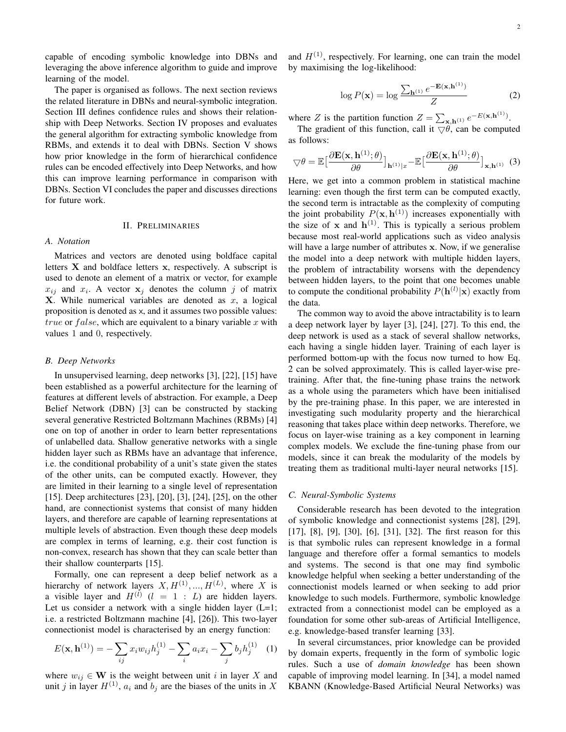capable of encoding symbolic knowledge into DBNs and leveraging the above inference algorithm to guide and improve learning of the model.

The paper is organised as follows. The next section reviews the related literature in DBNs and neural-symbolic integration. Section III defines confidence rules and shows their relationship with Deep Networks. Section IV proposes and evaluates the general algorithm for extracting symbolic knowledge from RBMs, and extends it to deal with DBNs. Section V shows how prior knowledge in the form of hierarchical confidence rules can be encoded effectively into Deep Networks, and how this can improve learning performance in comparison with DBNs. Section VI concludes the paper and discusses directions for future work.

#### II. PRELIMINARIES

#### *A. Notation*

Matrices and vectors are denoted using boldface capital letters  $X$  and boldface letters  $x$ , respectively. A subscript is used to denote an element of a matrix or vector, for example  $x_{ij}$  and  $x_i$ . A vector  $x_j$  denotes the column j of matrix  $X$ . While numerical variables are denoted as  $x$ , a logical proposition is denoted as x, and it assumes two possible values: true or  $false$ , which are equivalent to a binary variable x with values 1 and 0, respectively.

#### *B. Deep Networks*

In unsupervised learning, deep networks [3], [22], [15] have been established as a powerful architecture for the learning of features at different levels of abstraction. For example, a Deep Belief Network (DBN) [3] can be constructed by stacking several generative Restricted Boltzmann Machines (RBMs) [4] one on top of another in order to learn better representations of unlabelled data. Shallow generative networks with a single hidden layer such as RBMs have an advantage that inference, i.e. the conditional probability of a unit's state given the states of the other units, can be computed exactly. However, they are limited in their learning to a single level of representation [15]. Deep architectures [23], [20], [3], [24], [25], on the other hand, are connectionist systems that consist of many hidden layers, and therefore are capable of learning representations at multiple levels of abstraction. Even though these deep models are complex in terms of learning, e.g. their cost function is non-convex, research has shown that they can scale better than their shallow counterparts [15].

Formally, one can represent a deep belief network as a hierarchy of network layers  $X, H^{(1)}, ..., H^{(L)}$ , where X is a visible layer and  $H^{(l)}$  ( $l = 1 : L$ ) are hidden layers. Let us consider a network with a single hidden layer  $(L=1;$ i.e. a restricted Boltzmann machine [4], [26]). This two-layer connectionist model is characterised by an energy function:

$$
E(\mathbf{x}, \mathbf{h}^{(1)}) = -\sum_{ij} x_i w_{ij} h_j^{(1)} - \sum_i a_i x_i - \sum_j b_j h_j^{(1)} \quad (1)
$$

where  $w_{ij} \in \mathbf{W}$  is the weight between unit i in layer X and unit j in layer  $H^{(1)}$ ,  $a_i$  and  $b_j$  are the biases of the units in X

and  $H^{(1)}$ , respectively. For learning, one can train the model by maximising the log-likelihood:

$$
\log P(\mathbf{x}) = \log \frac{\sum_{\mathbf{h}^{(1)}} e^{-\mathbf{E}(\mathbf{x}, \mathbf{h}^{(1)})}}{Z}
$$
 (2)

where Z is the partition function  $Z = \sum_{\mathbf{x}, \mathbf{h}^{(1)}} e^{-E(\mathbf{x}, \mathbf{h}^{(1)})}$ .

The gradient of this function, call it  $\bigtriangledown \theta$ , can be computed as follows:

$$
\nabla \theta = \mathbb{E} \left[ \frac{\partial \mathbf{E}(\mathbf{x}, \mathbf{h}^{(1)}; \theta)}{\partial \theta} \right]_{\mathbf{h}^{(1)} | x} - \mathbb{E} \left[ \frac{\partial \mathbf{E}(\mathbf{x}, \mathbf{h}^{(1)}; \theta)}{\partial \theta} \right]_{\mathbf{x}, \mathbf{h}^{(1)}} \tag{3}
$$

Here, we get into a common problem in statistical machine learning: even though the first term can be computed exactly, the second term is intractable as the complexity of computing the joint probability  $P(x, h<sup>(1)</sup>)$  increases exponentially with the size of x and  $h^{(1)}$ . This is typically a serious problem because most real-world applications such as video analysis will have a large number of attributes x. Now, if we generalise the model into a deep network with multiple hidden layers, the problem of intractability worsens with the dependency between hidden layers, to the point that one becomes unable to compute the conditional probability  $P(\mathbf{h}^{(l)}|\mathbf{x})$  exactly from the data.

The common way to avoid the above intractability is to learn a deep network layer by layer [3], [24], [27]. To this end, the deep network is used as a stack of several shallow networks, each having a single hidden layer. Training of each layer is performed bottom-up with the focus now turned to how Eq. 2 can be solved approximately. This is called layer-wise pretraining. After that, the fine-tuning phase trains the network as a whole using the parameters which have been initialised by the pre-training phase. In this paper, we are interested in investigating such modularity property and the hierarchical reasoning that takes place within deep networks. Therefore, we focus on layer-wise training as a key component in learning complex models. We exclude the fine-tuning phase from our models, since it can break the modularity of the models by treating them as traditional multi-layer neural networks [15].

#### *C. Neural-Symbolic Systems*

Considerable research has been devoted to the integration of symbolic knowledge and connectionist systems [28], [29], [17], [8], [9], [30], [6], [31], [32]. The first reason for this is that symbolic rules can represent knowledge in a formal language and therefore offer a formal semantics to models and systems. The second is that one may find symbolic knowledge helpful when seeking a better understanding of the connectionist models learned or when seeking to add prior knowledge to such models. Furthermore, symbolic knowledge extracted from a connectionist model can be employed as a foundation for some other sub-areas of Artificial Intelligence, e.g. knowledge-based transfer learning [33].

In several circumstances, prior knowledge can be provided by domain experts, frequently in the form of symbolic logic rules. Such a use of *domain knowledge* has been shown capable of improving model learning. In [34], a model named KBANN (Knowledge-Based Artificial Neural Networks) was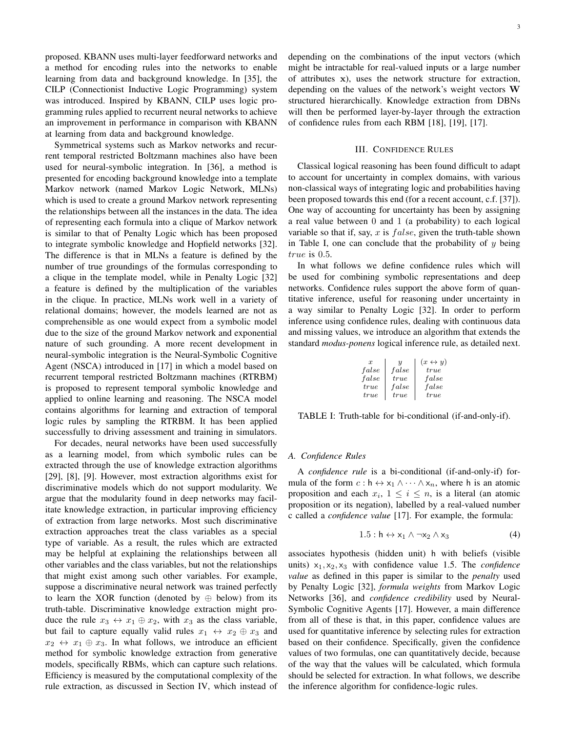proposed. KBANN uses multi-layer feedforward networks and a method for encoding rules into the networks to enable learning from data and background knowledge. In [35], the CILP (Connectionist Inductive Logic Programming) system was introduced. Inspired by KBANN, CILP uses logic programming rules applied to recurrent neural networks to achieve an improvement in performance in comparison with KBANN at learning from data and background knowledge.

Symmetrical systems such as Markov networks and recurrent temporal restricted Boltzmann machines also have been used for neural-symbolic integration. In [36], a method is presented for encoding background knowledge into a template Markov network (named Markov Logic Network, MLNs) which is used to create a ground Markov network representing the relationships between all the instances in the data. The idea of representing each formula into a clique of Markov network is similar to that of Penalty Logic which has been proposed to integrate symbolic knowledge and Hopfield networks [32]. The difference is that in MLNs a feature is defined by the number of true groundings of the formulas corresponding to a clique in the template model, while in Penalty Logic [32] a feature is defined by the multiplication of the variables in the clique. In practice, MLNs work well in a variety of relational domains; however, the models learned are not as comprehensible as one would expect from a symbolic model due to the size of the ground Markov network and exponential nature of such grounding. A more recent development in neural-symbolic integration is the Neural-Symbolic Cognitive Agent (NSCA) introduced in [17] in which a model based on recurrent temporal restricted Boltzmann machines (RTRBM) is proposed to represent temporal symbolic knowledge and applied to online learning and reasoning. The NSCA model contains algorithms for learning and extraction of temporal logic rules by sampling the RTRBM. It has been applied successfully to driving assessment and training in simulators.

For decades, neural networks have been used successfully as a learning model, from which symbolic rules can be extracted through the use of knowledge extraction algorithms [29], [8], [9]. However, most extraction algorithms exist for discriminative models which do not support modularity. We argue that the modularity found in deep networks may facilitate knowledge extraction, in particular improving efficiency of extraction from large networks. Most such discriminative extraction approaches treat the class variables as a special type of variable. As a result, the rules which are extracted may be helpful at explaining the relationships between all other variables and the class variables, but not the relationships that might exist among such other variables. For example, suppose a discriminative neural network was trained perfectly to learn the XOR function (denoted by  $\oplus$  below) from its truth-table. Discriminative knowledge extraction might produce the rule  $x_3 \leftrightarrow x_1 \oplus x_2$ , with  $x_3$  as the class variable, but fail to capture equally valid rules  $x_1 \leftrightarrow x_2 \oplus x_3$  and  $x_2 \leftrightarrow x_1 \oplus x_3$ . In what follows, we introduce an efficient method for symbolic knowledge extraction from generative models, specifically RBMs, which can capture such relations. Efficiency is measured by the computational complexity of the rule extraction, as discussed in Section IV, which instead of depending on the combinations of the input vectors (which might be intractable for real-valued inputs or a large number of attributes x), uses the network structure for extraction, depending on the values of the network's weight vectors W structured hierarchically. Knowledge extraction from DBNs will then be performed layer-by-layer through the extraction of confidence rules from each RBM [18], [19], [17].

#### III. CONFIDENCE RULES

Classical logical reasoning has been found difficult to adapt to account for uncertainty in complex domains, with various non-classical ways of integrating logic and probabilities having been proposed towards this end (for a recent account, c.f. [37]). One way of accounting for uncertainty has been by assigning a real value between 0 and 1 (a probability) to each logical variable so that if, say,  $x$  is  $false$ , given the truth-table shown in Table I, one can conclude that the probability of  $y$  being true is 0.5.

In what follows we define confidence rules which will be used for combining symbolic representations and deep networks. Confidence rules support the above form of quantitative inference, useful for reasoning under uncertainty in a way similar to Penalty Logic [32]. In order to perform inference using confidence rules, dealing with continuous data and missing values, we introduce an algorithm that extends the standard *modus-ponens* logical inference rule, as detailed next.

| $\boldsymbol{x}$ | $\boldsymbol{\mathit{u}}$ | $(x \leftrightarrow y)$ |
|------------------|---------------------------|-------------------------|
| false            | false                     | true                    |
| false            | true                      | false                   |
| true             | false                     | false                   |
| true             | true                      | true                    |

TABLE I: Truth-table for bi-conditional (if-and-only-if).

#### *A. Confidence Rules*

A *confidence rule* is a bi-conditional (if-and-only-if) formula of the form  $c : h \leftrightarrow x_1 \land \cdots \land x_n$ , where h is an atomic proposition and each  $x_i$ ,  $1 \leq i \leq n$ , is a literal (an atomic proposition or its negation), labelled by a real-valued number c called a *confidence value* [17]. For example, the formula:

$$
1.5: \mathsf{h} \leftrightarrow \mathsf{x}_1 \land \neg \mathsf{x}_2 \land \mathsf{x}_3 \tag{4}
$$

associates hypothesis (hidden unit) h with beliefs (visible units)  $x_1, x_2, x_3$  with confidence value 1.5. The *confidence value* as defined in this paper is similar to the *penalty* used by Penalty Logic [32], *formula weights* from Markov Logic Networks [36], and *confidence credibility* used by Neural-Symbolic Cognitive Agents [17]. However, a main difference from all of these is that, in this paper, confidence values are used for quantitative inference by selecting rules for extraction based on their confidence. Specifically, given the confidence values of two formulas, one can quantitatively decide, because of the way that the values will be calculated, which formula should be selected for extraction. In what follows, we describe the inference algorithm for confidence-logic rules.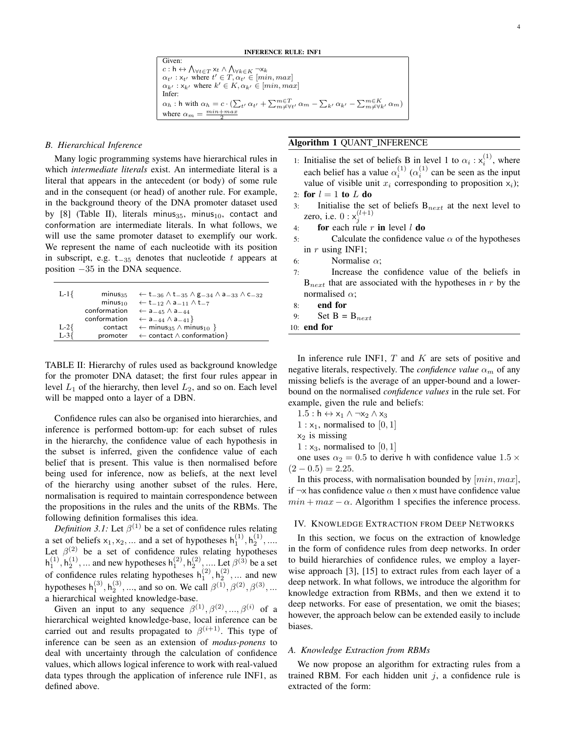#### INFERENCE RULE: INF1

Given:  $c: \mathsf{h} \leftrightarrow \bigwedge_{\forall t \in T} \mathsf{x}_t \land \bigwedge_{\forall k \in K} \neg \mathsf{x}_k$  $\alpha_{t'}$ :  $x_{t'}$  where  $t' \in T, \alpha_{t'} \in [min, max]$  $\alpha_{k'} : x_{k'}$  where  $k' \in K$ ,  $\alpha_{k'} \in [min, max]$ Infer:  $\alpha_h$ : h with  $\alpha_h = c \cdot (\sum_{t'} \alpha_{t'} + \sum_{m \neq \forall t'}^{m \in T} \alpha_m - \sum_{k'} \alpha_{k'} - \sum_{m \neq \forall k'}^{m \in K} \alpha_m)$ where  $\alpha_m = \frac{min + max}{2}$ 

#### *B. Hierarchical Inference*

Many logic programming systems have hierarchical rules in which *intermediate literals* exist. An intermediate literal is a literal that appears in the antecedent (or body) of some rule and in the consequent (or head) of another rule. For example, in the background theory of the DNA promoter dataset used by  $[8]$  (Table II), literals minus<sub>35</sub>, minus<sub>10</sub>, contact and conformation are intermediate literals. In what follows, we will use the same promoter dataset to exemplify our work. We represent the name of each nucleotide with its position in subscript, e.g. t $_{-35}$  denotes that nucleotide t appears at position −35 in the DNA sequence.

| $L-1$   | $minus_{35}$ | $\leftarrow$ t <sub>-36</sub> $\wedge$ t <sub>-35</sub> $\wedge$ g <sub>-34</sub> $\wedge$ a <sub>-33</sub> $\wedge$ c <sub>-32</sub> |
|---------|--------------|---------------------------------------------------------------------------------------------------------------------------------------|
|         | $minus_{10}$ | $\leftarrow$ t <sub>-12</sub> $\wedge$ a <sub>-11</sub> $\wedge$ t <sub>-7</sub>                                                      |
|         | conformation | $\leftarrow$ a <sub>-45</sub> $\wedge$ a <sub>-44</sub>                                                                               |
|         | conformation | $\leftarrow$ a <sub>-44</sub> $\wedge$ a <sub>-41</sub> }                                                                             |
| $L-2$   | contact      | $\leftarrow$ minus <sub>35</sub> $\wedge$ minus <sub>10</sub> }                                                                       |
| $L - 3$ |              | promoter $\leftarrow$ contact $\wedge$ conformation }                                                                                 |

TABLE II: Hierarchy of rules used as background knowledge for the promoter DNA dataset; the first four rules appear in level  $L_1$  of the hierarchy, then level  $L_2$ , and so on. Each level will be mapped onto a layer of a DBN.

Confidence rules can also be organised into hierarchies, and inference is performed bottom-up: for each subset of rules in the hierarchy, the confidence value of each hypothesis in the subset is inferred, given the confidence value of each belief that is present. This value is then normalised before being used for inference, now as beliefs, at the next level of the hierarchy using another subset of the rules. Here, normalisation is required to maintain correspondence between the propositions in the rules and the units of the RBMs. The following definition formalises this idea.

*Definition 3.1:* Let  $\beta^{(1)}$  be a set of confidence rules relating a set of beliefs  $x_1, x_2, ...$  and a set of hypotheses  $h_1^{(1)}, h_2^{(1)}, ...$ Let  $\beta^{(2)}$  be a set of confidence rules relating hypotheses  $h_1^{(1)}, h_2^{(1)}, ...$  and new hypotheses  $h_1^{(2)}, h_2^{(2)}, ...$  Let  $\beta^{(3)}$  be a set  $_1$ ,  $\mathfrak{u}_2$ ,  $\ldots$  and new hypotheses  $\mathfrak{u}_1$ ,  $\mathfrak{u}_2$ of confidence rules relating hypotheses  $h_1^{(2)}$ ,  $h_2^{(2)}$ , ... and new hypotheses  $h_1^{(3)}$ ,  $h_2^{(3)}$ , ..., and so on. We call  $\beta^{(1)}$ ,  $\beta^{(2)}$ ,  $\beta^{(3)}$ , ... a hierarchical weighted knowledge-base.

Given an input to any sequence  $\beta^{(1)}, \beta^{(2)}, ..., \beta^{(i)}$  of a hierarchical weighted knowledge-base, local inference can be carried out and results propagated to  $\beta^{(i+1)}$ . This type of inference can be seen as an extension of *modus-ponens* to deal with uncertainty through the calculation of confidence values, which allows logical inference to work with real-valued data types through the application of inference rule INF1, as defined above.

# Algorithm 1 QUANT INFERENCE

- 1: Initialise the set of beliefs B in level 1 to  $\alpha_i : x_i^{(1)}$ , where each belief has a value  $\alpha_i^{(1)}$   $(\alpha_i^{(1)}$  can be seen as the input value of visible unit  $x_i$  corresponding to proposition  $x_i$ ); 2: for  $l = 1$  to  $L$  do
- 
- 3: Initialise the set of beliefs  $B_{next}$  at the next level to zero, i.e.  $0: x_j^{(l+1)}$
- 4: for each rule r in level  $l$  do
- 5: Calculate the confidence value  $\alpha$  of the hypotheses in  $r$  using INF1;
- 6: Normalise  $\alpha$ ;
- 7: Increase the confidence value of the beliefs in  $B_{next}$  that are associated with the hypotheses in r by the normalised  $\alpha$ ;

8: end for

9: Set  $B = B_{next}$ 

10: end for

In inference rule INF1,  $T$  and  $K$  are sets of positive and negative literals, respectively. The *confidence value*  $\alpha_m$  of any missing beliefs is the average of an upper-bound and a lowerbound on the normalised *confidence values* in the rule set. For example, given the rule and beliefs:

- $1.5: h \leftrightarrow x_1 \land \neg x_2 \land x_3$
- $1 : x_1$ , normalised to [0, 1]
- $x_2$  is missing
- $1: x_3$ , normalised to  $[0, 1]$

one uses  $\alpha_2 = 0.5$  to derive h with confidence value  $1.5 \times$  $(2 - 0.5) = 2.25.$ 

In this process, with normalisation bounded by  $(min, max]$ , if  $\neg x$  has confidence value  $\alpha$  then x must have confidence value  $min + max - \alpha$ . Algorithm 1 specifies the inference process.

#### IV. KNOWLEDGE EXTRACTION FROM DEEP NETWORKS

In this section, we focus on the extraction of knowledge in the form of confidence rules from deep networks. In order to build hierarchies of confidence rules, we employ a layerwise approach [3], [15] to extract rules from each layer of a deep network. In what follows, we introduce the algorithm for knowledge extraction from RBMs, and then we extend it to deep networks. For ease of presentation, we omit the biases; however, the approach below can be extended easily to include biases.

#### *A. Knowledge Extraction from RBMs*

We now propose an algorithm for extracting rules from a trained RBM. For each hidden unit  $j$ , a confidence rule is extracted of the form: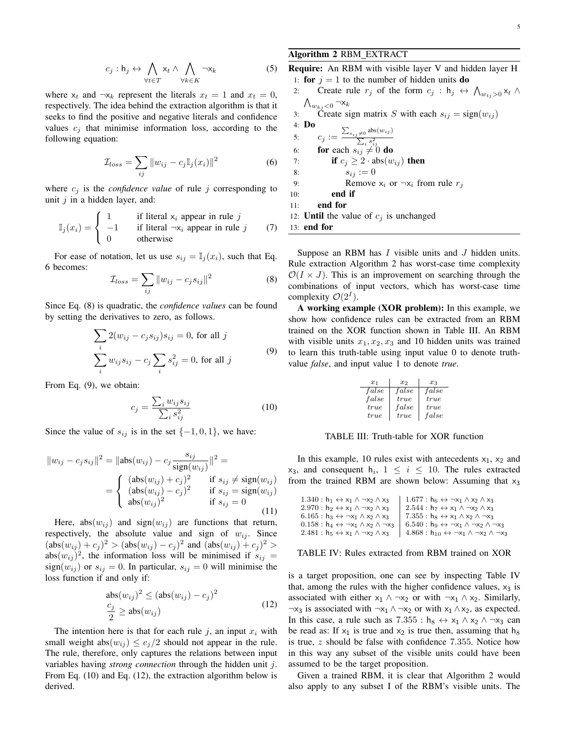$$
c_j: \mathsf{h}_j \leftrightarrow \bigwedge_{\forall t \in T} \mathsf{x}_t \land \bigwedge_{\forall k \in K} \neg \mathsf{x}_k \tag{5}
$$

where  $x_t$  and  $\neg x_k$  represent the literals  $x_t = 1$  and  $x_t = 0$ , respectively. The idea behind the extraction algorithm is that it seeks to find the positive and negative literals and confidence values  $c_i$  that minimise information loss, according to the following equation:

$$
\mathcal{I}_{loss} = \sum_{ij} ||w_{ij} - c_j \mathbb{I}_j(x_i)||^2 \tag{6}
$$

where  $c_j$  is the *confidence value* of rule j corresponding to unit  $i$  in a hidden layer, and:

$$
\mathbb{I}_j(x_i) = \begin{cases} 1 & \text{if literal } x_i \text{ appear in rule } j \\ -1 & \text{if literal } \neg x_i \text{ appear in rule } j \\ 0 & \text{otherwise} \end{cases}
$$
(7)

For ease of notation, let us use  $s_{ij} = \mathbb{I}_j(x_i)$ , such that Eq. 6 becomes:

$$
\mathcal{I}_{loss} = \sum_{ij} ||w_{ij} - c_j s_{ij}||^2 \tag{8}
$$

Since Eq. (8) is quadratic, the *confidence values* can be found by setting the derivatives to zero, as follows.

$$
\sum_{i} 2(w_{ij} - c_j s_{ij})s_{ij} = 0, \text{ for all } j
$$

$$
\sum_{i} w_{ij} s_{ij} - c_j \sum_{i} s_{ij}^2 = 0, \text{ for all } j
$$

$$
(9)
$$

From Eq. (9), we obtain:

$$
c_j = \frac{\sum_i w_{ij} s_{ij}}{\sum_i s_{ij}^2}
$$
 (10)

Since the value of  $s_{ij}$  is in the set  $\{-1, 0, 1\}$ , we have:

$$
||w_{ij} - c_j s_{ij}||^2 = ||\text{abs}(w_{ij}) - c_j \frac{s_{ij}}{\text{sign}(w_{ij})}||^2 =
$$
  
= 
$$
\begin{cases} ( \text{abs}(w_{ij}) + c_j )^2 & \text{if } s_{ij} \neq \text{sign}(w_{ij}) \\ ( \text{abs}(w_{ij}) - c_j )^2 & \text{if } s_{ij} = \text{sign}(w_{ij}) \\ \text{abs}(w_{ij})^2 & \text{if } s_{ij} = 0 \end{cases}
$$
(11)

Here,  $abs(w_{ij})$  and  $sign(w_{ij})$  are functions that return, respectively, the absolute value and sign of  $w_{ij}$ . Since  $(\text{abs}(w_{ij}) + c_j)^2 > (\text{abs}(w_{ij}) - c_j)^2$  and  $(\text{abs}(w_{ij}) + c_j)^2 >$ abs $(w_{ij})^2$ , the information loss will be minimised if  $s_{ij}$  =  $sign(w_{ij})$  or  $s_{ij} = 0$ . In particular,  $s_{ij} = 0$  will minimise the loss function if and only if:

$$
abs(w_{ij})^2 \le (abs(w_{ij}) - c_j)^2
$$
  

$$
\frac{c_j}{2} \ge abs(w_{ij})
$$
 (12)

The intention here is that for each rule j, an input  $x_i$  with small weight abs $(w_{ij}) \leq c_j/2$  should not appear in the rule. The rule, therefore, only captures the relations between input variables having *strong connection* through the hidden unit j. From Eq. (10) and Eq. (12), the extraction algorithm below is derived.

# Algorithm 2 RBM EXTRACT

Require: An RBM with visible layer V and hidden layer H 1: for  $j = 1$  to the number of hidden units do 2: Create rule  $r_j$  of the form  $c_j$ :  $h_j \leftrightarrow \bigwedge_{w_{t_j}>0} x_t \wedge$  $\bigwedge_{w_{kj}<0} \neg \mathsf{x}_k$ 3: Create sign matrix S with each  $s_{ij} = sign(w_{ij})$ 4: Do 5:  $c_j := \frac{\sum_{s_{ij} \neq 0} \text{abs}(w_{ij})}{\sum_i s_{ij}^2}$ <br>6: **for** each  $s_{ij} \neq 0$  do 7: **if**  $c_j \geq 2 \cdot abs(w_{ij})$  then 8:  $s_{ij} := 0$ 

9: Remove 
$$
x_i
$$
 or  $\neg x_i$  from rule  $r_j$ 

10: end if

11: end for

12: **Until** the value of  $c_j$  is unchanged

13: end for

Suppose an RBM has  $I$  visible units and  $J$  hidden units. Rule extraction Algorithm 2 has worst-case time complexity  $\mathcal{O}(I \times J)$ . This is an improvement on searching through the combinations of input vectors, which has worst-case time complexity  $\mathcal{O}(2^I)$ .

A working example (XOR problem): In this example, we show how confidence rules can be extracted from an RBM trained on the XOR function shown in Table III. An RBM with visible units  $x_1, x_2, x_3$  and 10 hidden units was trained to learn this truth-table using input value 0 to denote truthvalue *false*, and input value 1 to denote *true*.

| $x_1$ | $x_2$ | $x_3$ |
|-------|-------|-------|
| false | false | false |
| false | true  | true  |
| true  | false | true  |
| true  | true  | false |

#### TABLE III: Truth-table for XOR function

In this example, 10 rules exist with antecedents  $x_1$ ,  $x_2$  and  $x_3$ , and consequent  $h_i$ ,  $1 \leq i \leq 10$ . The rules extracted from the trained RBM are shown below: Assuming that  $x_3$ 

| $1.677: h_6 \leftrightarrow \neg x_1 \wedge x_2 \wedge x_3$            |
|------------------------------------------------------------------------|
| $2.544 : h_7 \leftrightarrow x_1 \land \neg x_2 \land x_3$             |
| $7.355: h_8 \leftrightarrow x_1 \wedge x_2 \wedge \neg x_3$            |
| $6.540: h_9 \leftrightarrow \neg x_1 \land \neg x_2 \land \neg x_3$    |
| $4.868: h_{10} \leftrightarrow \neg x_1 \land \neg x_2 \land \neg x_3$ |
|                                                                        |

#### TABLE IV: Rules extracted from RBM trained on XOR

is a target proposition, one can see by inspecting Table IV that, among the rules with the higher confidence values,  $x_3$  is associated with either  $x_1 \wedge \neg x_2$  or with  $\neg x_1 \wedge x_2$ . Similarly,  $\neg x_3$  is associated with  $\neg x_1 \wedge \neg x_2$  or with  $x_1 \wedge x_2$ , as expected. In this case, a rule such as  $7.355 : h_8 \leftrightarrow x_1 \land x_2 \land \neg x_3$  can be read as: If  $x_1$  is true and  $x_2$  is true then, assuming that  $h_8$ is true, z should be false with confidence 7.355. Notice how in this way any subset of the visible units could have been assumed to be the target proposition.

Given a trained RBM, it is clear that Algorithm 2 would also apply to any subset I of the RBM's visible units. The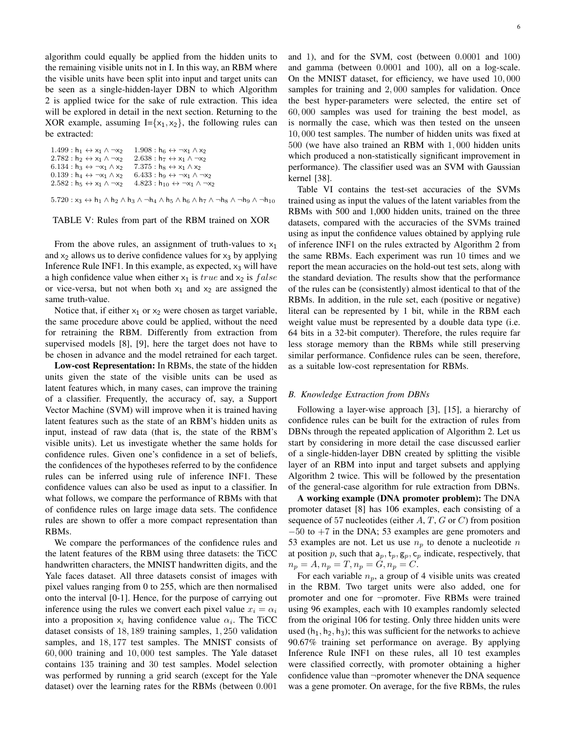algorithm could equally be applied from the hidden units to the remaining visible units not in I. In this way, an RBM where the visible units have been split into input and target units can be seen as a single-hidden-layer DBN to which Algorithm 2 is applied twice for the sake of rule extraction. This idea will be explored in detail in the next section. Returning to the XOR example, assuming  $I = \{x_1, x_2\}$ , the following rules can be extracted:

| $1.499: h_1 \leftrightarrow x_1 \land \neg x_2$  | $1.908: h_6 \leftrightarrow \neg x_1 \wedge x_2$                                                                                                           |
|--------------------------------------------------|------------------------------------------------------------------------------------------------------------------------------------------------------------|
| $2.782: h_2 \leftrightarrow x_1 \land \neg x_2$  | $2.638: h_7 \leftrightarrow x_1 \wedge \neg x_2$                                                                                                           |
| $6.134: h_3 \leftrightarrow \neg x_1 \wedge x_2$ | $7.375: h_8 \leftrightarrow x_1 \wedge x_2$                                                                                                                |
| $0.139: h_4 \leftrightarrow \neg x_1 \wedge x_2$ | $6.433: h_9 \leftrightarrow \neg x_1 \wedge \neg x_2$                                                                                                      |
| $2.582: h_5 \leftrightarrow x_1 \land \neg x_2$  | $4.823: h_{10} \leftrightarrow \neg x_1 \wedge \neg x_2$                                                                                                   |
|                                                  |                                                                                                                                                            |
|                                                  | $5.720: x_3 \leftrightarrow h_1 \wedge h_2 \wedge h_3 \wedge \neg h_4 \wedge h_5 \wedge h_6 \wedge h_7 \wedge \neg h_8 \wedge \neg h_9 \wedge \neg h_{10}$ |

#### TABLE V: Rules from part of the RBM trained on XOR

From the above rules, an assignment of truth-values to  $x_1$ and  $x_2$  allows us to derive confidence values for  $x_3$  by applying Inference Rule INF1. In this example, as expected,  $x_3$  will have a high confidence value when either  $x_1$  is true and  $x_2$  is false or vice-versa, but not when both  $x_1$  and  $x_2$  are assigned the same truth-value.

Notice that, if either  $x_1$  or  $x_2$  were chosen as target variable, the same procedure above could be applied, without the need for retraining the RBM. Differently from extraction from supervised models [8], [9], here the target does not have to be chosen in advance and the model retrained for each target.

Low-cost Representation: In RBMs, the state of the hidden units given the state of the visible units can be used as latent features which, in many cases, can improve the training of a classifier. Frequently, the accuracy of, say, a Support Vector Machine (SVM) will improve when it is trained having latent features such as the state of an RBM's hidden units as input, instead of raw data (that is, the state of the RBM's visible units). Let us investigate whether the same holds for confidence rules. Given one's confidence in a set of beliefs, the confidences of the hypotheses referred to by the confidence rules can be inferred using rule of inference INF1. These confidence values can also be used as input to a classifier. In what follows, we compare the performance of RBMs with that of confidence rules on large image data sets. The confidence rules are shown to offer a more compact representation than RBMs.

We compare the performances of the confidence rules and the latent features of the RBM using three datasets: the TiCC handwritten characters, the MNIST handwritten digits, and the Yale faces dataset. All three datasets consist of images with pixel values ranging from 0 to 255, which are then normalised onto the interval [0-1]. Hence, for the purpose of carrying out inference using the rules we convert each pixel value  $x_i = \alpha_i$ into a proposition  $x_i$  having confidence value  $\alpha_i$ . The TiCC dataset consists of 18, 189 training samples, 1, 250 validation samples, and 18, 177 test samples. The MNIST consists of 60, 000 training and 10, 000 test samples. The Yale dataset contains 135 training and 30 test samples. Model selection was performed by running a grid search (except for the Yale dataset) over the learning rates for the RBMs (between 0.001

6

and 1), and for the SVM, cost (between 0.0001 and 100) and gamma (between 0.0001 and 100), all on a log-scale. On the MNIST dataset, for efficiency, we have used 10, 000 samples for training and 2,000 samples for validation. Once the best hyper-parameters were selected, the entire set of 60, 000 samples was used for training the best model, as is normally the case, which was then tested on the unseen 10, 000 test samples. The number of hidden units was fixed at 500 (we have also trained an RBM with 1, 000 hidden units which produced a non-statistically significant improvement in performance). The classifier used was an SVM with Gaussian kernel [38].

Table VI contains the test-set accuracies of the SVMs trained using as input the values of the latent variables from the RBMs with 500 and 1,000 hidden units, trained on the three datasets, compared with the accuracies of the SVMs trained using as input the confidence values obtained by applying rule of inference INF1 on the rules extracted by Algorithm 2 from the same RBMs. Each experiment was run 10 times and we report the mean accuracies on the hold-out test sets, along with the standard deviation. The results show that the performance of the rules can be (consistently) almost identical to that of the RBMs. In addition, in the rule set, each (positive or negative) literal can be represented by 1 bit, while in the RBM each weight value must be represented by a double data type (i.e. 64 bits in a 32-bit computer). Therefore, the rules require far less storage memory than the RBMs while still preserving similar performance. Confidence rules can be seen, therefore, as a suitable low-cost representation for RBMs.

#### *B. Knowledge Extraction from DBNs*

Following a layer-wise approach [3], [15], a hierarchy of confidence rules can be built for the extraction of rules from DBNs through the repeated application of Algorithm 2. Let us start by considering in more detail the case discussed earlier of a single-hidden-layer DBN created by splitting the visible layer of an RBM into input and target subsets and applying Algorithm 2 twice. This will be followed by the presentation of the general-case algorithm for rule extraction from DBNs.

A working example (DNA promoter problem): The DNA promoter dataset [8] has 106 examples, each consisting of a sequence of 57 nucleotides (either  $A, T, G$  or  $C$ ) from position  $-50$  to  $+7$  in the DNA; 53 examples are gene promoters and 53 examples are not. Let us use  $n_p$  to denote a nucleotide n at position p, such that  $a_p, t_p, g_p, c_p$  indicate, respectively, that  $n_p = A, n_p = T, n_p = G, n_p = C.$ 

For each variable  $n_p$ , a group of 4 visible units was created in the RBM. Two target units were also added, one for promoter and one for ¬promoter. Five RBMs were trained using 96 examples, each with 10 examples randomly selected from the original 106 for testing. Only three hidden units were used  $(h_1, h_2, h_3)$ ; this was sufficient for the networks to achieve 90.67% training set performance on average. By applying Inference Rule INF1 on these rules, all 10 test examples were classified correctly, with promoter obtaining a higher confidence value than ¬promoter whenever the DNA sequence was a gene promoter. On average, for the five RBMs, the rules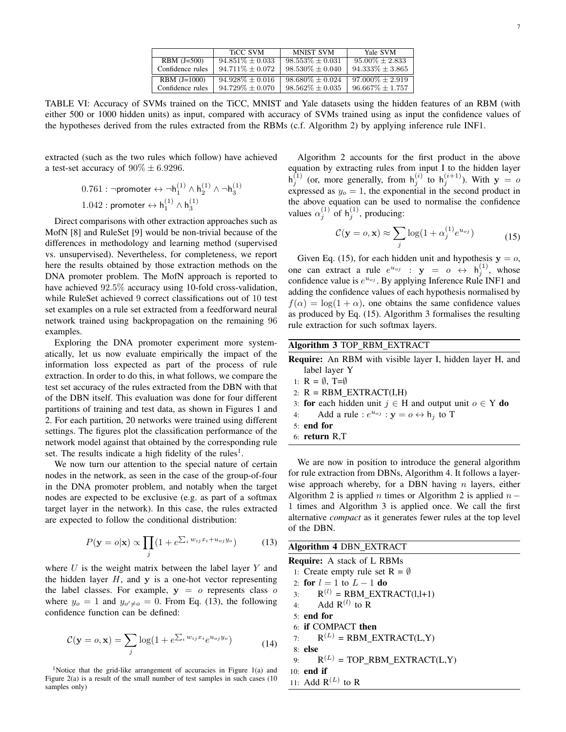|                  | <b>TiCC SVM</b>      | <b>MNIST SVM</b>     | Yale SVM             |
|------------------|----------------------|----------------------|----------------------|
| $RBM (J=500)$    | $94.851\% \pm 0.033$ | $98.553\% \pm 0.031$ | $95.00\% + 2.833$    |
| Confidence rules | $94.711\% \pm 0.072$ | $98.530\% \pm 0.040$ | $94.333\% \pm 3.865$ |
| $RBM (J=1000)$   | $94.928\% \pm 0.016$ | $98.680\% \pm 0.024$ | $97.000\% + 2.919$   |
| Confidence rules | $94.729\% \pm 0.070$ | $98.562\% \pm 0.035$ | $96.667\% + 1.757$   |

TABLE VI: Accuracy of SVMs trained on the TiCC, MNIST and Yale datasets using the hidden features of an RBM (with either 500 or 1000 hidden units) as input, compared with accuracy of SVMs trained using as input the confidence values of the hypotheses derived from the rules extracted from the RBMs (c.f. Algorithm 2) by applying inference rule INF1.

extracted (such as the two rules which follow) have achieved a test-set accuracy of  $90\% \pm 6.9296$ .

> $0.761: \lnot$ promoter  $\leftrightarrow \lnot {\sf h}_1^{(1)} \wedge {\sf h}_2^{(1)} \wedge \lnot {\sf h}_3^{(1)}$  $1.042:$  promoter  $\leftrightarrow$   $\mathsf{h}_1^{(1)} \wedge \mathsf{h}_3^{(1)}$

Direct comparisons with other extraction approaches such as MofN [8] and RuleSet [9] would be non-trivial because of the differences in methodology and learning method (supervised vs. unsupervised). Nevertheless, for completeness, we report here the results obtained by those extraction methods on the DNA promoter problem. The MofN approach is reported to have achieved  $92.5\%$  accuracy using 10-fold cross-validation, while RuleSet achieved 9 correct classifications out of 10 test set examples on a rule set extracted from a feedforward neural network trained using backpropagation on the remaining 96 examples.

Exploring the DNA promoter experiment more systematically, let us now evaluate empirically the impact of the information loss expected as part of the process of rule extraction. In order to do this, in what follows, we compare the test set accuracy of the rules extracted from the DBN with that of the DBN itself. This evaluation was done for four different partitions of training and test data, as shown in Figures 1 and 2. For each partition, 20 networks were trained using different settings. The figures plot the classification performance of the network model against that obtained by the corresponding rule set. The results indicate a high fidelity of the rules<sup>1</sup>.

We now turn our attention to the special nature of certain nodes in the network, as seen in the case of the group-of-four in the DNA promoter problem, and notably when the target nodes are expected to be exclusive (e.g. as part of a softmax target layer in the network). In this case, the rules extracted are expected to follow the conditional distribution:

$$
P(\mathbf{y} = o|\mathbf{x}) \propto \prod_{j} (1 + e^{\sum_{i} w_{ij} x_i + u_{oj} y_o}) \tag{13}
$$

where  $U$  is the weight matrix between the label layer  $Y$  and the hidden layer  $H$ , and  $y$  is a one-hot vector representing the label classes. For example,  $y = o$  represents class  $o$ where  $y_o = 1$  and  $y_{o' \neq o} = 0$ . From Eq. (13), the following confidence function can be defined:

$$
\mathcal{C}(\mathbf{y}=o,\mathbf{x})=\sum_{j}\log(1+e^{\sum_{i}w_{ij}x_{i}}e^{u_{oj}y_{o}}) \qquad (14)
$$

<sup>1</sup>Notice that the grid-like arrangement of accuracies in Figure  $1(a)$  and Figure 2(a) is a result of the small number of test samples in such cases (10 samples only)

Algorithm 2 accounts for the first product in the above equation by extracting rules from input I to the hidden layer  $h_j^{(1)}$  (or, more generally, from  $h_j^{(i)}$  to  $h_j^{(i+1)}$ ). With  $y = 0$ expressed as  $y_o = 1$ , the exponential in the second product in the above equation can be used to normalise the confidence values  $\alpha_j^{(1)}$  of  $h_j^{(1)}$ , producing:

$$
\mathcal{C}(\mathbf{y}=o,\mathbf{x}) \approx \sum_{j} \log(1 + \alpha_j^{(1)} e^{u_{oj}})
$$
 (15)

Given Eq. (15), for each hidden unit and hypothesis  $y = 0$ , one can extract a rule  $e^{u_{oj}}$  :  $y = o \leftrightarrow h_j^{(1)}$ , whose confidence value is  $e^{u_{oj}}$ . By applying Inference Rule INF1 and adding the confidence values of each hypothesis normalised by  $f(\alpha) = \log(1 + \alpha)$ , one obtains the same confidence values as produced by Eq. (15). Algorithm 3 formalises the resulting rule extraction for such softmax layers.

## Algorithm 3 TOP RBM EXTRACT

Require: An RBM with visible layer I, hidden layer H, and label layer Y 1:  $R = \emptyset$ , T= $\emptyset$ 2:  $R = RBM EXTRACT(I,H)$ 3: **for** each hidden unit  $j \text{ ∈ } H$  and output unit  $o \text{ ∈ } Y$  **do** 

- 
- 4: Add a rule :  $e^{u_{oj}}$  :  $y = o \leftrightarrow h_j$  to T
- 5: end for
- 6: return R,T

We are now in position to introduce the general algorithm for rule extraction from DBNs, Algorithm 4. It follows a layerwise approach whereby, for a DBN having  $n$  layers, either Algorithm 2 is applied *n* times or Algorithm 2 is applied  $n -$ 1 times and Algorithm 3 is applied once. We call the first alternative *compact* as it generates fewer rules at the top level of the DBN.

Algorithm 4 DBN EXTRACT Require: A stack of L RBMs 1: Create empty rule set  $R = \emptyset$ 2: for  $l = 1$  to  $L - 1$  do 3:  $R^{(l)} = RBM\_EXTRACT(l,l+1)$ 4: Add  $R^{(l)}$  to R 5: end for 6: if COMPACT then 7:  $R^{(L)} = RBM\_EXTRACT(L,Y)$ 8: else 9:  $R^{(L)} = TOP\_RBM\_EXTRACT(L,Y)$ 10: end if 11: Add  $R^{(L)}$  to R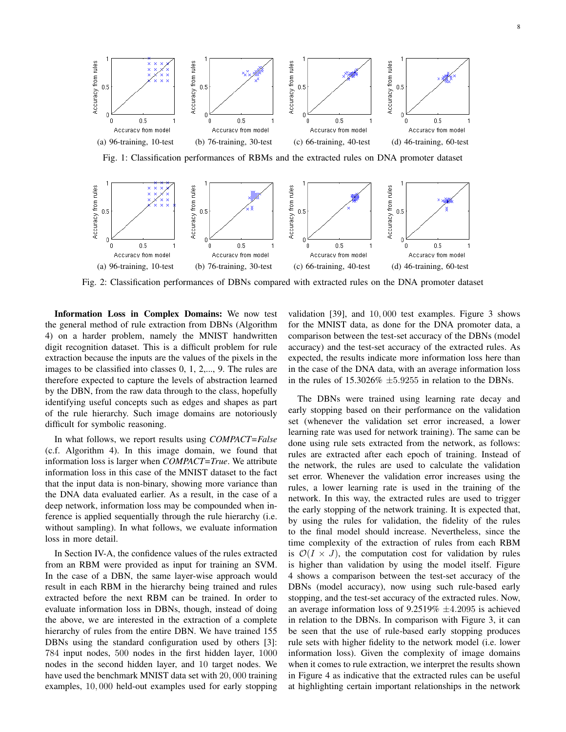

Fig. 1: Classification performances of RBMs and the extracted rules on DNA promoter dataset



Fig. 2: Classification performances of DBNs compared with extracted rules on the DNA promoter dataset

Information Loss in Complex Domains: We now test the general method of rule extraction from DBNs (Algorithm 4) on a harder problem, namely the MNIST handwritten digit recognition dataset. This is a difficult problem for rule extraction because the inputs are the values of the pixels in the images to be classified into classes 0, 1, 2,..., 9. The rules are therefore expected to capture the levels of abstraction learned by the DBN, from the raw data through to the class, hopefully identifying useful concepts such as edges and shapes as part of the rule hierarchy. Such image domains are notoriously difficult for symbolic reasoning.

In what follows, we report results using *COMPACT=False* (c.f. Algorithm 4). In this image domain, we found that information loss is larger when *COMPACT=True*. We attribute information loss in this case of the MNIST dataset to the fact that the input data is non-binary, showing more variance than the DNA data evaluated earlier. As a result, in the case of a deep network, information loss may be compounded when inference is applied sequentially through the rule hierarchy (i.e. without sampling). In what follows, we evaluate information loss in more detail.

In Section IV-A, the confidence values of the rules extracted from an RBM were provided as input for training an SVM. In the case of a DBN, the same layer-wise approach would result in each RBM in the hierarchy being trained and rules extracted before the next RBM can be trained. In order to evaluate information loss in DBNs, though, instead of doing the above, we are interested in the extraction of a complete hierarchy of rules from the entire DBN. We have trained 155 DBNs using the standard configuration used by others [3]: 784 input nodes, 500 nodes in the first hidden layer, 1000 nodes in the second hidden layer, and 10 target nodes. We have used the benchmark MNIST data set with 20, 000 training examples, 10, 000 held-out examples used for early stopping

validation [39], and 10, 000 test examples. Figure 3 shows for the MNIST data, as done for the DNA promoter data, a comparison between the test-set accuracy of the DBNs (model accuracy) and the test-set accuracy of the extracted rules. As expected, the results indicate more information loss here than in the case of the DNA data, with an average information loss in the rules of  $15.3026\% \pm 5.9255$  in relation to the DBNs.

The DBNs were trained using learning rate decay and early stopping based on their performance on the validation set (whenever the validation set error increased, a lower learning rate was used for network training). The same can be done using rule sets extracted from the network, as follows: rules are extracted after each epoch of training. Instead of the network, the rules are used to calculate the validation set error. Whenever the validation error increases using the rules, a lower learning rate is used in the training of the network. In this way, the extracted rules are used to trigger the early stopping of the network training. It is expected that, by using the rules for validation, the fidelity of the rules to the final model should increase. Nevertheless, since the time complexity of the extraction of rules from each RBM is  $\mathcal{O}(I \times J)$ , the computation cost for validation by rules is higher than validation by using the model itself. Figure 4 shows a comparison between the test-set accuracy of the DBNs (model accuracy), now using such rule-based early stopping, and the test-set accuracy of the extracted rules. Now, an average information loss of  $9.2519\% \pm 4.2095$  is achieved in relation to the DBNs. In comparison with Figure 3, it can be seen that the use of rule-based early stopping produces rule sets with higher fidelity to the network model (i.e. lower information loss). Given the complexity of image domains when it comes to rule extraction, we interpret the results shown in Figure 4 as indicative that the extracted rules can be useful at highlighting certain important relationships in the network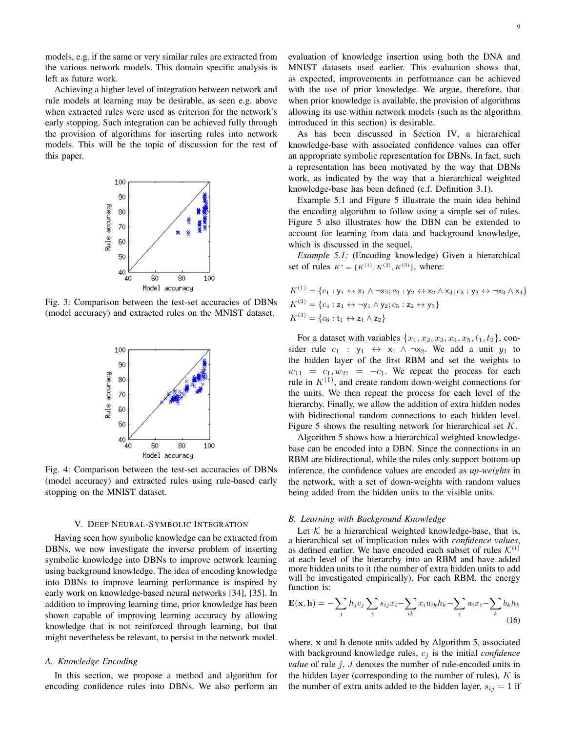models, e.g. if the same or very similar rules are extracted from the various network models. This domain specific analysis is left as future work.

Achieving a higher level of integration between network and rule models at learning may be desirable, as seen e.g. above when extracted rules were used as criterion for the network's early stopping. Such integration can be achieved fully through the provision of algorithms for inserting rules into network models. This will be the topic of discussion for the rest of this paper.



Fig. 3: Comparison between the test-set accuracies of DBNs (model accuracy) and extracted rules on the MNIST dataset.



Fig. 4: Comparison between the test-set accuracies of DBNs (model accuracy) and extracted rules using rule-based early stopping on the MNIST dataset.

#### V. DEEP NEURAL-SYMBOLIC INTEGRATION

Having seen how symbolic knowledge can be extracted from DBNs, we now investigate the inverse problem of inserting symbolic knowledge into DBNs to improve network learning using background knowledge. The idea of encoding knowledge into DBNs to improve learning performance is inspired by early work on knowledge-based neural networks [34], [35]. In addition to improving learning time, prior knowledge has been shown capable of improving learning accuracy by allowing knowledge that is not reinforced through learning, but that might nevertheless be relevant, to persist in the network model.

#### *A. Knowledge Encoding*

In this section, we propose a method and algorithm for encoding confidence rules into DBNs. We also perform an evaluation of knowledge insertion using both the DNA and MNIST datasets used earlier. This evaluation shows that, as expected, improvements in performance can be achieved with the use of prior knowledge. We argue, therefore, that when prior knowledge is available, the provision of algorithms allowing its use within network models (such as the algorithm introduced in this section) is desirable.

As has been discussed in Section IV, a hierarchical knowledge-base with associated confidence values can offer an appropriate symbolic representation for DBNs. In fact, such a representation has been motivated by the way that DBNs work, as indicated by the way that a hierarchical weighted knowledge-base has been defined (c.f. Definition 3.1).

Example 5.1 and Figure 5 illustrate the main idea behind the encoding algorithm to follow using a simple set of rules. Figure 5 also illustrates how the DBN can be extended to account for learning from data and background knowledge, which is discussed in the sequel.

*Example 5.1:* (Encoding knowledge) Given a hierarchical set of rules  $K^s = \{K^{(1)}, K^{(2)}, K^{(3)}\}$ , where:

$$
K^{(1)} = \{c_1 : y_1 \leftrightarrow x_1 \land \neg x_2; c_2 : y_2 \leftrightarrow x_2 \land x_3; c_3 : y_3 \leftrightarrow \neg x_3 \land x_4\}
$$
  

$$
K^{(2)} = \{c_4 : z_1 \leftrightarrow \neg y_1 \land y_2; c_5 : z_2 \leftrightarrow y_3\}
$$
  

$$
K^{(3)} = \{c_6 : t_1 \leftrightarrow z_1 \land z_2\}
$$

For a dataset with variables  $\{x_1, x_2, x_3, x_4, x_5, t_1, t_2\}$ , consider rule  $c_1$  :  $y_1 \leftrightarrow x_1 \land \neg x_2$ . We add a unit  $y_1$  to the hidden layer of the first RBM and set the weights to  $w_{11} = c_1, w_{21} = -c_1$ . We repeat the process for each rule in  $K^{(1)}$ , and create random down-weight connections for the units. We then repeat the process for each level of the hierarchy. Finally, we allow the addition of extra hidden nodes with bidirectional random connections to each hidden level. Figure 5 shows the resulting network for hierarchical set K.

Algorithm 5 shows how a hierarchical weighted knowledgebase can be encoded into a DBN. Since the connections in an RBM are bidirectional, while the rules only support bottom-up inference, the confidence values are encoded as *up-weights* in the network, with a set of down-weights with random values being added from the hidden units to the visible units.

#### *B. Learning with Background Knowledge*

Let  $K$  be a hierarchical weighted knowledge-base, that is, a hierarchical set of implication rules with *confidence values*, as defined earlier. We have encoded each subset of rules  $\mathcal{K}^{(l)}$ at each level of the hierarchy into an RBM and have added more hidden units to it (the number of extra hidden units to add will be investigated empirically). For each RBM, the energy function is:

$$
\mathbf{E}(\mathbf{x}, \mathbf{h}) = -\sum_{j} h_j c_j \sum_{i} s_{ij} x_i - \sum_{ik} x_i u_{ik} h_k - \sum_{i} a_i x_i - \sum_{k} b_k h_k
$$
\n(16)

where, x and h denote units added by Algorithm 5, associated with background knowledge rules,  $c_i$  is the initial *confidence value* of rule  $j$ ,  $J$  denotes the number of rule-encoded units in the hidden layer (corresponding to the number of rules),  $K$  is the number of extra units added to the hidden layer,  $s_{ij} = 1$  if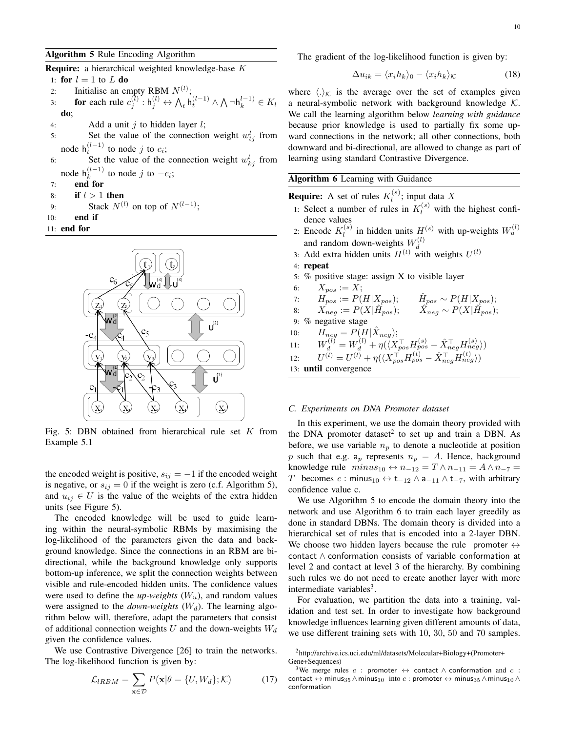## Algorithm 5 Rule Encoding Algorithm

Require: a hierarchical weighted knowledge-base K

- 1: for  $l = 1$  to L do
- 2: Initialise an empty RBM  $N^{(l)}$ ;
- 3: **for** each rule  $c_j^{(l)}: \mathsf{h}_j^{(l)} \leftrightarrow \bigwedge_t \mathsf{h}_t^{(l-1)} \wedge \bigwedge \neg \mathsf{h}_k^{l-1} \in K_l$ do;
- 4: Add a unit  $i$  to hidden layer  $l$ ;
- 5: Set the value of the connection weight  $w_{tj}^l$  from node  $h_t^{(l-1)}$  to node j to  $c_i$ ;
- 6: Set the value of the connection weight  $w_{kj}^l$  from node  $h_k^{(l-1)}$  $\int_{k}^{(i-1)}$  to node j to  $-c_i$ ;
- 7: end for
- 8: if  $l > 1$  then
- 9: Stack  $N^{(l)}$  on top of  $N^{(l-1)}$ ;
- 10: end if
- 11: end for



Fig. 5: DBN obtained from hierarchical rule set  $K$  from Example 5.1

the encoded weight is positive,  $s_{ij} = -1$  if the encoded weight is negative, or  $s_{ij} = 0$  if the weight is zero (c.f. Algorithm 5), and  $u_{ij} \in U$  is the value of the weights of the extra hidden units (see Figure 5).

The encoded knowledge will be used to guide learning within the neural-symbolic RBMs by maximising the log-likelihood of the parameters given the data and background knowledge. Since the connections in an RBM are bidirectional, while the background knowledge only supports bottom-up inference, we split the connection weights between visible and rule-encoded hidden units. The confidence values were used to define the  $up\text{-}weights$  ( $W_u$ ), and random values were assigned to the *down-weights*  $(W_d)$ . The learning algorithm below will, therefore, adapt the parameters that consist of additional connection weights U and the down-weights  $W_d$ given the confidence values.

We use Contrastive Divergence [26] to train the networks. The log-likelihood function is given by:

$$
\mathcal{L}_{IRBM} = \sum_{\mathbf{x} \in \mathcal{D}} P(\mathbf{x}|\theta = \{U, W_d\}; \mathcal{K}) \tag{17}
$$

The gradient of the log-likelihood function is given by:

$$
\Delta u_{ik} = \langle x_i h_k \rangle_0 - \langle x_i h_k \rangle_{\mathcal{K}} \tag{18}
$$

where  $\langle \cdot \rangle_{\mathcal{K}}$  is the average over the set of examples given a neural-symbolic network with background knowledge  $K$ . We call the learning algorithm below *learning with guidance* because prior knowledge is used to partially fix some upward connections in the network; all other connections, both downward and bi-directional, are allowed to change as part of learning using standard Contrastive Divergence.

### Algorithm 6 Learning with Guidance

**Require:** A set of rules  $K_l^{(s)}$  $\mathcal{U}^{(s)}$ ; input data X

- 1: Select a number of rules in  $K_l^{(s)}$  with the highest confidence values
- 2: Encode  $K_l^{(s)}$  $\mathcal{U}_l^{(s)}$  in hidden units  $H_s^{(s)}$  with up-weights  $W_u^{(l)}$ and random down-weights  $W_d^{(l)}$ d
- 3: Add extra hidden units  $H^{(t)}$  with weights  $U^{(l)}$
- 4: repeat
- 5: % positive stage: assign X to visible layer
- 6:  $X_{pos} := X;$ 7:  $H_{pos} := P(H|X_{pos});$

7: 
$$
\hat{H}_{pos} := P(H|X_{pos});
$$
  $\hat{H}_{pos} \sim P(H|X_{pos});$   
8:  $X_{neg} := P(X|\hat{H}_{pos});$   $\hat{X}_{neg} \sim P(X|\hat{H}_{pos});$ 

9: % negative stage

- 10:  $\tilde{H}_{neg} = P(H|\hat{X}_{neg});$
- 11:  $W_d^{(l)} = W_d^{(l)} + \eta(\langle X_{pos}^{\top} H_{pos}^{(s)} \hat{X}_{neg}^{\top} H_{neg}^{(s)} \rangle)$
- 12:  $U^{(l)} = U^{(l)} + \eta(\langle X_{pos}^{\dagger} H_{pos}^{(t)} \hat{X}_{neg}^{\dagger} H_{neg}^{(t)} \rangle)$

13: until convergence

#### *C. Experiments on DNA Promoter dataset*

In this experiment, we use the domain theory provided with the DNA promoter dataset<sup>2</sup> to set up and train a DBN. As before, we use variable  $n_p$  to denote a nucleotide at position p such that e.g.  $a_p$  represents  $n_p = A$ . Hence, background knowledge rule  $minus_{10} \leftrightarrow n_{-12} = T \land n_{-11} = A \land n_{-7} =$ T becomes c : minus<sub>10</sub>  $\leftrightarrow$  t<sub>-12</sub>  $\land$  a<sub>-11</sub>  $\land$  t<sub>-7</sub>, with arbitrary confidence value c.

We use Algorithm 5 to encode the domain theory into the network and use Algorithm 6 to train each layer greedily as done in standard DBNs. The domain theory is divided into a hierarchical set of rules that is encoded into a 2-layer DBN. We choose two hidden layers because the rule promoter  $\leftrightarrow$ contact ∧ conformation consists of variable conformation at level 2 and contact at level 3 of the hierarchy. By combining such rules we do not need to create another layer with more intermediate variables<sup>3</sup>.

For evaluation, we partition the data into a training, validation and test set. In order to investigate how background knowledge influences learning given different amounts of data, we use different training sets with 10, 30, 50 and 70 samples.

<sup>2</sup>http://archive.ics.uci.edu/ml/datasets/Molecular+Biology+(Promoter+ Gene+Sequences)

<sup>&</sup>lt;sup>3</sup>We merge rules c : promoter  $\leftrightarrow$  contact  $\land$  conformation and c : contact  $\leftrightarrow$  minus<sub>35</sub>  $\land$  minus<sub>10</sub> into c : promoter  $\leftrightarrow$  minus<sub>35</sub>  $\land$  minus<sub>10</sub>  $\land$ conformation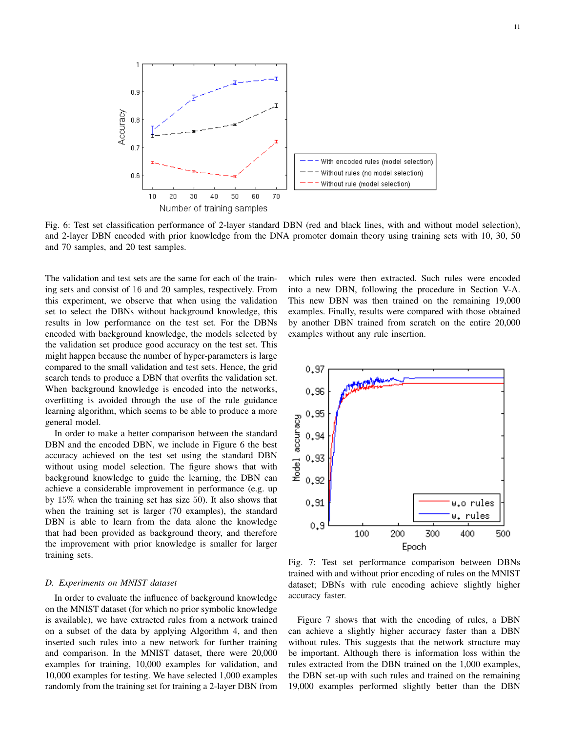

Fig. 6: Test set classification performance of 2-layer standard DBN (red and black lines, with and without model selection), and 2-layer DBN encoded with prior knowledge from the DNA promoter domain theory using training sets with 10, 30, 50 and 70 samples, and 20 test samples.

The validation and test sets are the same for each of the training sets and consist of 16 and 20 samples, respectively. From this experiment, we observe that when using the validation set to select the DBNs without background knowledge, this results in low performance on the test set. For the DBNs encoded with background knowledge, the models selected by the validation set produce good accuracy on the test set. This might happen because the number of hyper-parameters is large compared to the small validation and test sets. Hence, the grid search tends to produce a DBN that overfits the validation set. When background knowledge is encoded into the networks, overfitting is avoided through the use of the rule guidance learning algorithm, which seems to be able to produce a more general model.

In order to make a better comparison between the standard DBN and the encoded DBN, we include in Figure 6 the best accuracy achieved on the test set using the standard DBN without using model selection. The figure shows that with background knowledge to guide the learning, the DBN can achieve a considerable improvement in performance (e.g. up by 15% when the training set has size 50). It also shows that when the training set is larger (70 examples), the standard DBN is able to learn from the data alone the knowledge that had been provided as background theory, and therefore the improvement with prior knowledge is smaller for larger training sets.

#### *D. Experiments on MNIST dataset*

In order to evaluate the influence of background knowledge on the MNIST dataset (for which no prior symbolic knowledge is available), we have extracted rules from a network trained on a subset of the data by applying Algorithm 4, and then inserted such rules into a new network for further training and comparison. In the MNIST dataset, there were 20,000 examples for training, 10,000 examples for validation, and 10,000 examples for testing. We have selected 1,000 examples randomly from the training set for training a 2-layer DBN from

which rules were then extracted. Such rules were encoded into a new DBN, following the procedure in Section V-A. This new DBN was then trained on the remaining 19,000 examples. Finally, results were compared with those obtained by another DBN trained from scratch on the entire 20,000 examples without any rule insertion.



Fig. 7: Test set performance comparison between DBNs trained with and without prior encoding of rules on the MNIST dataset; DBNs with rule encoding achieve slightly higher accuracy faster.

Figure 7 shows that with the encoding of rules, a DBN can achieve a slightly higher accuracy faster than a DBN without rules. This suggests that the network structure may be important. Although there is information loss within the rules extracted from the DBN trained on the 1,000 examples, the DBN set-up with such rules and trained on the remaining 19,000 examples performed slightly better than the DBN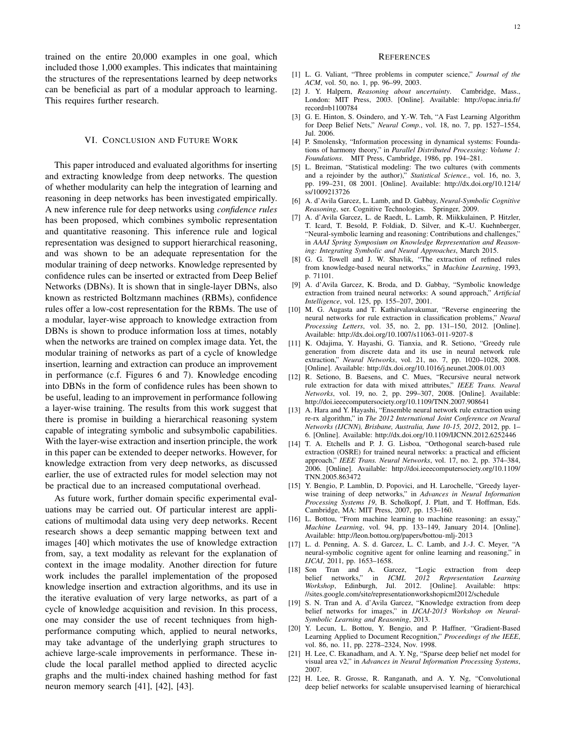trained on the entire 20,000 examples in one goal, which included those 1,000 examples. This indicates that maintaining the structures of the representations learned by deep networks can be beneficial as part of a modular approach to learning. This requires further research.

#### VI. CONCLUSION AND FUTURE WORK

This paper introduced and evaluated algorithms for inserting and extracting knowledge from deep networks. The question of whether modularity can help the integration of learning and reasoning in deep networks has been investigated empirically. A new inference rule for deep networks using *confidence rules* has been proposed, which combines symbolic representation and quantitative reasoning. This inference rule and logical representation was designed to support hierarchical reasoning, and was shown to be an adequate representation for the modular training of deep networks. Knowledge represented by confidence rules can be inserted or extracted from Deep Belief Networks (DBNs). It is shown that in single-layer DBNs, also known as restricted Boltzmann machines (RBMs), confidence rules offer a low-cost representation for the RBMs. The use of a modular, layer-wise approach to knowledge extraction from DBNs is shown to produce information loss at times, notably when the networks are trained on complex image data. Yet, the modular training of networks as part of a cycle of knowledge insertion, learning and extraction can produce an improvement in performance (c.f. Figures 6 and 7). Knowledge encoding into DBNs in the form of confidence rules has been shown to be useful, leading to an improvement in performance following a layer-wise training. The results from this work suggest that there is promise in building a hierarchical reasoning system capable of integrating symbolic and subsymbolic capabilities. With the layer-wise extraction and insertion principle, the work in this paper can be extended to deeper networks. However, for knowledge extraction from very deep networks, as discussed earlier, the use of extracted rules for model selection may not be practical due to an increased computational overhead.

As future work, further domain specific experimental evaluations may be carried out. Of particular interest are applications of multimodal data using very deep networks. Recent research shows a deep semantic mapping between text and images [40] which motivates the use of knowledge extraction from, say, a text modality as relevant for the explanation of context in the image modality. Another direction for future work includes the parallel implementation of the proposed knowledge insertion and extraction algorithms, and its use in the iterative evaluation of very large networks, as part of a cycle of knowledge acquisition and revision. In this process, one may consider the use of recent techniques from highperformance computing which, applied to neural networks, may take advantage of the underlying graph structures to achieve large-scale improvements in performance. These include the local parallel method applied to directed acyclic graphs and the multi-index chained hashing method for fast neuron memory search [41], [42], [43].

#### **REFERENCES**

- [1] L. G. Valiant, "Three problems in computer science," *Journal of the ACM*, vol. 50, no. 1, pp. 96–99, 2003.
- [2] J. Y. Halpern, *Reasoning about uncertainty*. Cambridge, Mass., London: MIT Press, 2003. [Online]. Available: http://opac.inria.fr/ record=b1100784
- [3] G. E. Hinton, S. Osindero, and Y.-W. Teh, "A Fast Learning Algorithm for Deep Belief Nets," *Neural Comp.*, vol. 18, no. 7, pp. 1527–1554, Jul. 2006.
- [4] P. Smolensky, "Information processing in dynamical systems: Foundations of harmony theory," in *Parallel Distributed Processing: Volume 1: Foundations*. MIT Press, Cambridge, 1986, pp. 194–281.
- [5] L. Breiman, "Statistical modeling: The two cultures (with comments and a rejoinder by the author)," *Statistical Science.*, vol. 16, no. 3, pp. 199–231, 08 2001. [Online]. Available: http://dx.doi.org/10.1214/ ss/1009213726
- [6] A. d'Avila Garcez, L. Lamb, and D. Gabbay, *Neural-Symbolic Cognitive Reasoning*, ser. Cognitive Technologies. Springer, 2009.
- [7] A. d'Avila Garcez, L. de Raedt, L. Lamb, R. Miikkulainen, P. Hitzler, T. Icard, T. Besold, P. Foldiak, D. Silver, and K.-U. Kuehnberger, "Neural-symbolic learning and reasoning: Contributions and challenges," in *AAAI Spring Symposium on Knowledge Representation and Reasoning: Integrating Symbolic and Neural Approaches*, March 2015.
- [8] G. G. Towell and J. W. Shavlik, "The extraction of refined rules from knowledge-based neural networks," in *Machine Learning*, 1993, p. 71101.
- [9] A. d'Avila Garcez, K. Broda, and D. Gabbay, "Symbolic knowledge extraction from trained neural networks: A sound approach," *Artificial Intelligence*, vol. 125, pp. 155–207, 2001.
- [10] M. G. Augasta and T. Kathirvalavakumar, "Reverse engineering the neural networks for rule extraction in classification problems," *Neural Processing Letters*, vol. 35, no. 2, pp. 131–150, 2012. [Online]. Available: http://dx.doi.org/10.1007/s11063-011-9207-8
- [11] K. Odajima, Y. Hayashi, G. Tianxia, and R. Setiono, "Greedy rule generation from discrete data and its use in neural network rule extraction," *Neural Networks*, vol. 21, no. 7, pp. 1020–1028, 2008. [Online]. Available: http://dx.doi.org/10.1016/j.neunet.2008.01.003
- [12] R. Setiono, B. Baesens, and C. Mues, "Recursive neural network rule extraction for data with mixed attributes," *IEEE Trans. Neural Networks*, vol. 19, no. 2, pp. 299–307, 2008. [Online]. Available: http://doi.ieeecomputersociety.org/10.1109/TNN.2007.908641
- [13] A. Hara and Y. Hayashi, "Ensemble neural network rule extraction using re-rx algorithm," in *The 2012 International Joint Conference on Neural Networks (IJCNN), Brisbane, Australia, June 10-15, 2012*, 2012, pp. 1– 6. [Online]. Available: http://dx.doi.org/10.1109/IJCNN.2012.6252446
- [14] T. A. Etchells and P. J. G. Lisboa, "Orthogonal search-based rule extraction (OSRE) for trained neural networks: a practical and efficient approach," *IEEE Trans. Neural Networks*, vol. 17, no. 2, pp. 374–384, 2006. [Online]. Available: http://doi.ieeecomputersociety.org/10.1109/ TNN.2005.863472
- [15] Y. Bengio, P. Lamblin, D. Popovici, and H. Larochelle, "Greedy layerwise training of deep networks," in *Advances in Neural Information Processing Systems 19*, B. Scholkopf, J. Platt, and T. Hoffman, Eds. Cambridge, MA: MIT Press, 2007, pp. 153–160.
- [16] L. Bottou, "From machine learning to machine reasoning: an essay," *Machine Learning*, vol. 94, pp. 133–149, January 2014. [Online]. Available: http://leon.bottou.org/papers/bottou-mlj-2013
- [17] L. d. Penning, A. S. d. Garcez, L. C. Lamb, and J.-J. C. Meyer, "A neural-symbolic cognitive agent for online learning and reasoning," in *IJCAI*, 2011, pp. 1653–1658.
- [18] Son Tran and A. Garcez, "Logic extraction from deep belief networks," in *ICML 2012 Representation Learning Workshop*, Edinburgh, Jul. 2012. [Online]. Available: https: //sites.google.com/site/representationworkshopicml2012/schedule
- [19] S. N. Tran and A. d'Avila Garcez, "Knowledge extraction from deep belief networks for images," in *IJCAI-2013 Workshop on Neural-Symbolic Learning and Reasoning*, 2013.
- [20] Y. Lecun, L. Bottou, Y. Bengio, and P. Haffner, "Gradient-Based Learning Applied to Document Recognition," *Proceedings of the IEEE*, vol. 86, no. 11, pp. 2278–2324, Nov. 1998.
- [21] H. Lee, C. Ekanadham, and A. Y. Ng, "Sparse deep belief net model for visual area v2," in *Advances in Neural Information Processing Systems*, 2007.
- [22] H. Lee, R. Grosse, R. Ranganath, and A. Y. Ng, "Convolutional deep belief networks for scalable unsupervised learning of hierarchical